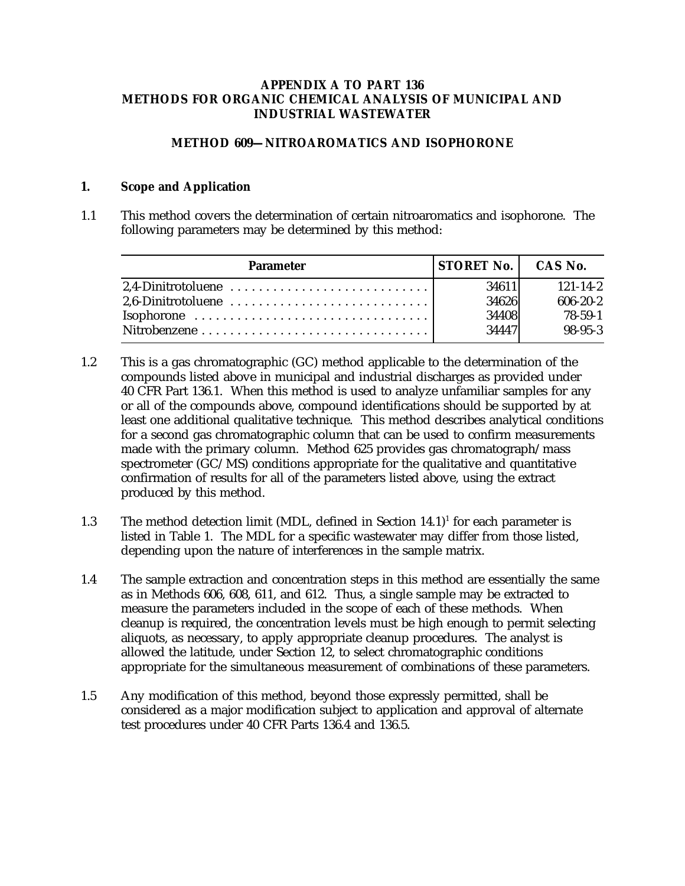## **APPENDIX A TO PART 136 METHODS FOR ORGANIC CHEMICAL ANALYSIS OF MUNICIPAL AND INDUSTRIAL WASTEWATER**

## **METHOD 609—NITROAROMATICS AND ISOPHORONE**

## **1. Scope and Application**

1.1 This method covers the determination of certain nitroaromatics and isophorone. The following parameters may be determined by this method:

| <b>Parameter</b> | <b>STORET No.   CAS No.</b> |                |
|------------------|-----------------------------|----------------|
|                  | 34611                       | $121 - 14 - 2$ |
|                  | 34626                       | $606 - 20 - 2$ |
|                  | 34408                       | 78-59-1        |
|                  | 34447                       | $98-95-3$      |

- 1.2 This is a gas chromatographic (GC) method applicable to the determination of the compounds listed above in municipal and industrial discharges as provided under 40 CFR Part 136.1. When this method is used to analyze unfamiliar samples for any or all of the compounds above, compound identifications should be supported by at least one additional qualitative technique. This method describes analytical conditions for a second gas chromatographic column that can be used to confirm measurements made with the primary column. Method 625 provides gas chromatograph/mass spectrometer (GC/MS) conditions appropriate for the qualitative and quantitative confirmation of results for all of the parameters listed above, using the extract produced by this method.
- 1.3 The method detection limit (MDL, defined in Section  $14.1$ )<sup>1</sup> for each parameter is listed in Table 1. The MDL for a specific wastewater may differ from those listed, depending upon the nature of interferences in the sample matrix.
- 1.4 The sample extraction and concentration steps in this method are essentially the same as in Methods 606, 608, 611, and 612. Thus, a single sample may be extracted to measure the parameters included in the scope of each of these methods. When cleanup is required, the concentration levels must be high enough to permit selecting aliquots, as necessary, to apply appropriate cleanup procedures. The analyst is allowed the latitude, under Section 12, to select chromatographic conditions appropriate for the simultaneous measurement of combinations of these parameters.
- 1.5 Any modification of this method, beyond those expressly permitted, shall be considered as a major modification subject to application and approval of alternate test procedures under 40 CFR Parts 136.4 and 136.5.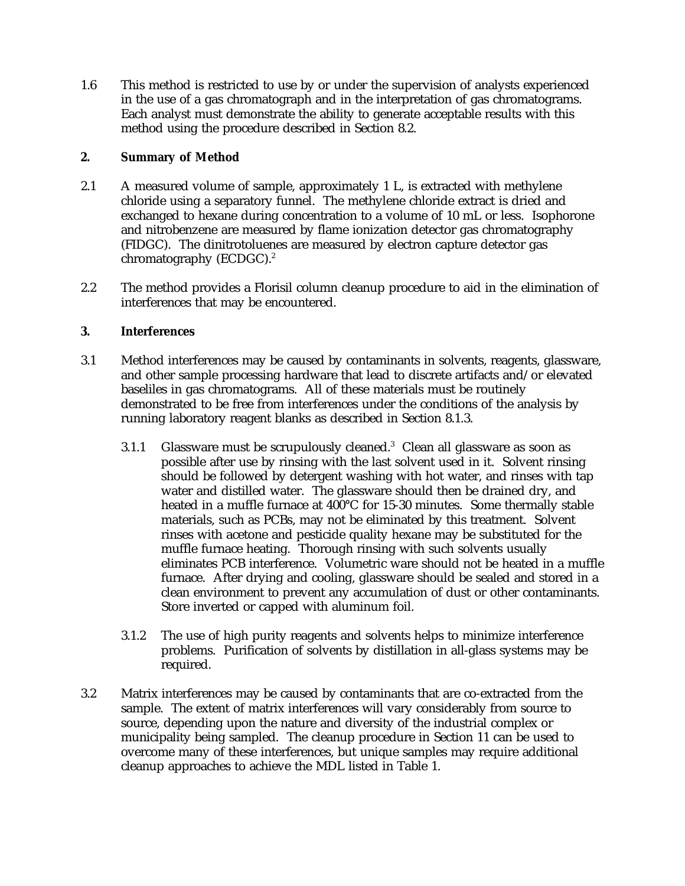1.6 This method is restricted to use by or under the supervision of analysts experienced in the use of a gas chromatograph and in the interpretation of gas chromatograms. Each analyst must demonstrate the ability to generate acceptable results with this method using the procedure described in Section 8.2.

# **2. Summary of Method**

- 2.1 A measured volume of sample, approximately 1 L, is extracted with methylene chloride using a separatory funnel. The methylene chloride extract is dried and exchanged to hexane during concentration to a volume of 10 mL or less. Isophorone and nitrobenzene are measured by flame ionization detector gas chromatography (FIDGC). The dinitrotoluenes are measured by electron capture detector gas chromatography (ECDGC).<sup>2</sup>
- 2.2 The method provides a Florisil column cleanup procedure to aid in the elimination of interferences that may be encountered.

# **3. Interferences**

- 3.1 Method interferences may be caused by contaminants in solvents, reagents, glassware, and other sample processing hardware that lead to discrete artifacts and/or elevated baseliles in gas chromatograms. All of these materials must be routinely demonstrated to be free from interferences under the conditions of the analysis by running laboratory reagent blanks as described in Section 8.1.3.
	- 3.1.1 Glassware must be scrupulously cleaned.<sup>3</sup> Clean all glassware as soon as possible after use by rinsing with the last solvent used in it. Solvent rinsing should be followed by detergent washing with hot water, and rinses with tap water and distilled water. The glassware should then be drained dry, and heated in a muffle furnace at 400°C for 15-30 minutes. Some thermally stable materials, such as PCBs, may not be eliminated by this treatment. Solvent rinses with acetone and pesticide quality hexane may be substituted for the muffle furnace heating. Thorough rinsing with such solvents usually eliminates PCB interference. Volumetric ware should not be heated in a muffle furnace. After drying and cooling, glassware should be sealed and stored in a clean environment to prevent any accumulation of dust or other contaminants. Store inverted or capped with aluminum foil.
	- 3.1.2 The use of high purity reagents and solvents helps to minimize interference problems. Purification of solvents by distillation in all-glass systems may be required.
- 3.2 Matrix interferences may be caused by contaminants that are co-extracted from the sample. The extent of matrix interferences will vary considerably from source to source, depending upon the nature and diversity of the industrial complex or municipality being sampled. The cleanup procedure in Section 11 can be used to overcome many of these interferences, but unique samples may require additional cleanup approaches to achieve the MDL listed in Table 1.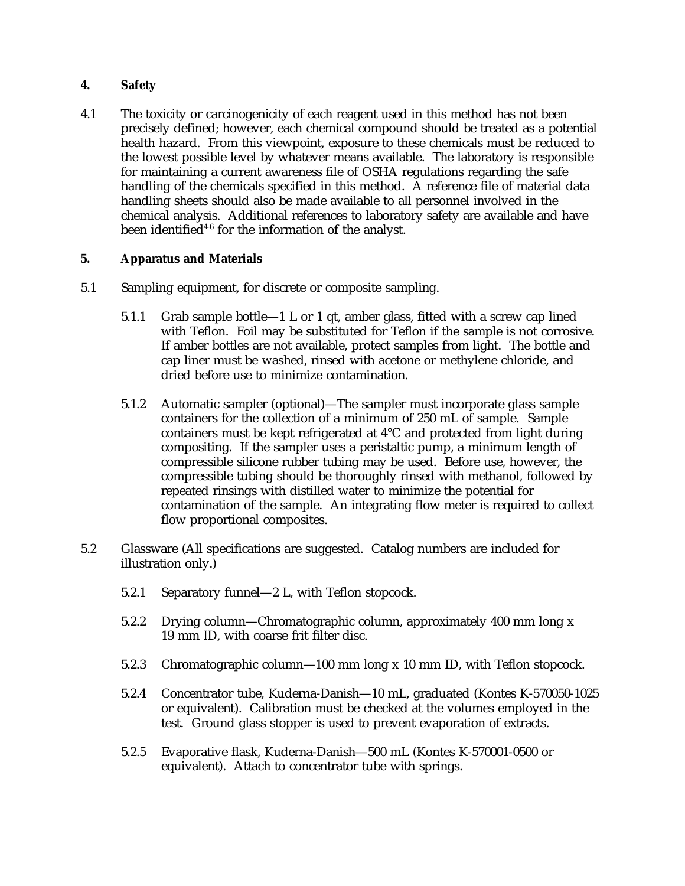# **4. Safety**

4.1 The toxicity or carcinogenicity of each reagent used in this method has not been precisely defined; however, each chemical compound should be treated as a potential health hazard. From this viewpoint, exposure to these chemicals must be reduced to the lowest possible level by whatever means available. The laboratory is responsible for maintaining a current awareness file of OSHA regulations regarding the safe handling of the chemicals specified in this method. A reference file of material data handling sheets should also be made available to all personnel involved in the chemical analysis. Additional references to laboratory safety are available and have been identified<sup> $4-6$ </sup> for the information of the analyst.

# **5. Apparatus and Materials**

- 5.1 Sampling equipment, for discrete or composite sampling.
	- 5.1.1 Grab sample bottle—1 L or 1 qt, amber glass, fitted with a screw cap lined with Teflon. Foil may be substituted for Teflon if the sample is not corrosive. If amber bottles are not available, protect samples from light. The bottle and cap liner must be washed, rinsed with acetone or methylene chloride, and dried before use to minimize contamination.
	- 5.1.2 Automatic sampler (optional)—The sampler must incorporate glass sample containers for the collection of a minimum of 250 mL of sample. Sample containers must be kept refrigerated at 4°C and protected from light during compositing. If the sampler uses a peristaltic pump, a minimum length of compressible silicone rubber tubing may be used. Before use, however, the compressible tubing should be thoroughly rinsed with methanol, followed by repeated rinsings with distilled water to minimize the potential for contamination of the sample. An integrating flow meter is required to collect flow proportional composites.
- 5.2 Glassware (All specifications are suggested. Catalog numbers are included for illustration only.)
	- 5.2.1 Separatory funnel—2 L, with Teflon stopcock.
	- 5.2.2 Drying column—Chromatographic column, approximately 400 mm long x 19 mm ID, with coarse frit filter disc.
	- 5.2.3 Chromatographic column—100 mm long x 10 mm ID, with Teflon stopcock.
	- 5.2.4 Concentrator tube, Kuderna-Danish—10 mL, graduated (Kontes K-570050-1025 or equivalent). Calibration must be checked at the volumes employed in the test. Ground glass stopper is used to prevent evaporation of extracts.
	- 5.2.5 Evaporative flask, Kuderna-Danish—500 mL (Kontes K-570001-0500 or equivalent). Attach to concentrator tube with springs.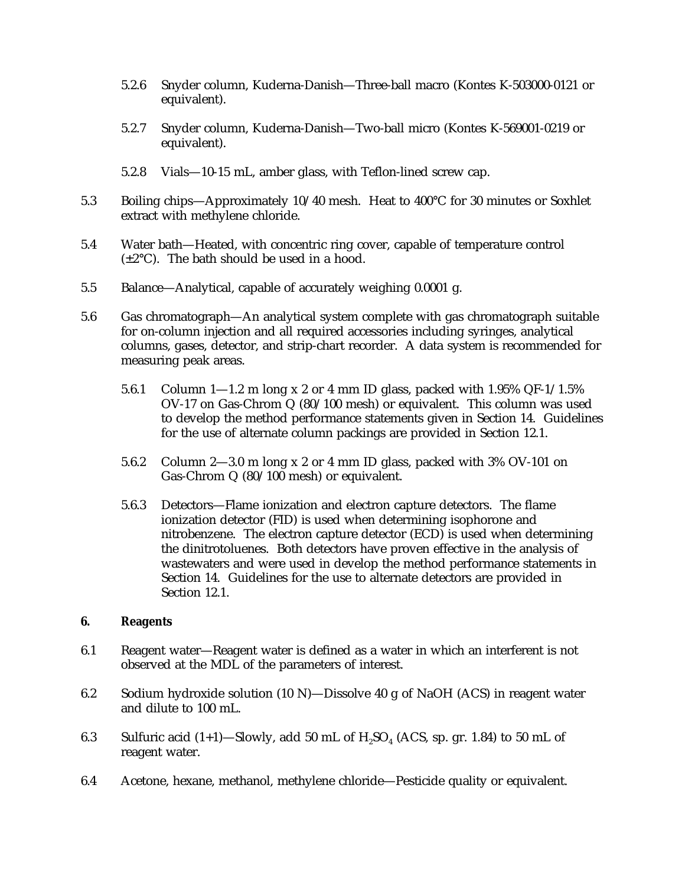- 5.2.6 Snyder column, Kuderna-Danish—Three-ball macro (Kontes K-503000-0121 or equivalent).
- 5.2.7 Snyder column, Kuderna-Danish—Two-ball micro (Kontes K-569001-0219 or equivalent).
- 5.2.8 Vials—10-15 mL, amber glass, with Teflon-lined screw cap.
- 5.3 Boiling chips—Approximately 10/40 mesh. Heat to 400°C for 30 minutes or Soxhlet extract with methylene chloride.
- 5.4 Water bath—Heated, with concentric ring cover, capable of temperature control  $(\pm 2^{\circ}C)$ . The bath should be used in a hood.
- 5.5 Balance—Analytical, capable of accurately weighing 0.0001 g.
- 5.6 Gas chromatograph—An analytical system complete with gas chromatograph suitable for on-column injection and all required accessories including syringes, analytical columns, gases, detector, and strip-chart recorder. A data system is recommended for measuring peak areas.
	- 5.6.1 Column 1—1.2 m long x 2 or 4 mm ID glass, packed with 1.95% QF-1/1.5% OV-17 on Gas-Chrom Q (80/100 mesh) or equivalent. This column was used to develop the method performance statements given in Section 14. Guidelines for the use of alternate column packings are provided in Section 12.1.
	- 5.6.2 Column 2—3.0 m long x 2 or 4 mm ID glass, packed with 3% OV-101 on Gas-Chrom Q (80/100 mesh) or equivalent.
	- 5.6.3 Detectors—Flame ionization and electron capture detectors. The flame ionization detector (FID) is used when determining isophorone and nitrobenzene. The electron capture detector (ECD) is used when determining the dinitrotoluenes. Both detectors have proven effective in the analysis of wastewaters and were used in develop the method performance statements in Section 14. Guidelines for the use to alternate detectors are provided in Section 12.1.

## **6. Reagents**

- 6.1 Reagent water—Reagent water is defined as a water in which an interferent is not observed at the MDL of the parameters of interest.
- 6.2 Sodium hydroxide solution (10 N)—Dissolve 40 g of NaOH (ACS) in reagent water and dilute to 100 mL.
- 6.3 Sulfuric acid  $(1+1)$ —Slowly, add 50 mL of  $H_2SO_4$  (ACS, sp. gr. 1.84) to 50 mL of reagent water.
- 6.4 Acetone, hexane, methanol, methylene chloride—Pesticide quality or equivalent.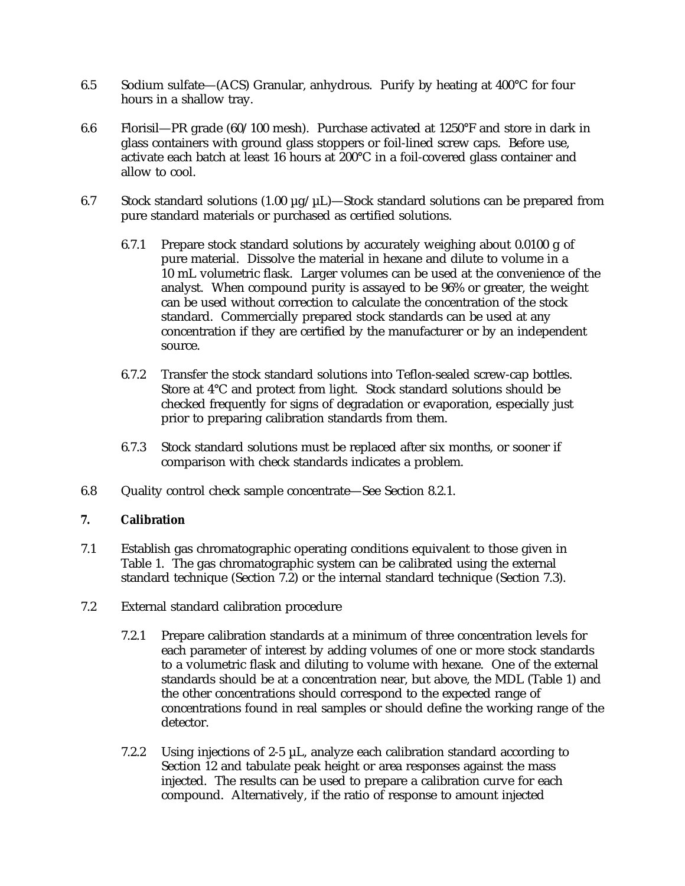- 6.5 Sodium sulfate—(ACS) Granular, anhydrous. Purify by heating at 400°C for four hours in a shallow tray.
- 6.6 Florisil—PR grade (60/100 mesh). Purchase activated at 1250°F and store in dark in glass containers with ground glass stoppers or foil-lined screw caps. Before use, activate each batch at least 16 hours at 200°C in a foil-covered glass container and allow to cool.
- 6.7 Stock standard solutions  $(1.00 \mu g/\mu L)$ —Stock standard solutions can be prepared from pure standard materials or purchased as certified solutions.
	- 6.7.1 Prepare stock standard solutions by accurately weighing about 0.0100 g of pure material. Dissolve the material in hexane and dilute to volume in a 10 mL volumetric flask. Larger volumes can be used at the convenience of the analyst. When compound purity is assayed to be 96% or greater, the weight can be used without correction to calculate the concentration of the stock standard. Commercially prepared stock standards can be used at any concentration if they are certified by the manufacturer or by an independent source.
	- 6.7.2 Transfer the stock standard solutions into Teflon-sealed screw-cap bottles. Store at 4°C and protect from light. Stock standard solutions should be checked frequently for signs of degradation or evaporation, especially just prior to preparing calibration standards from them.
	- 6.7.3 Stock standard solutions must be replaced after six months, or sooner if comparison with check standards indicates a problem.
- 6.8 Quality control check sample concentrate—See Section 8.2.1.

# **7. Calibration**

- 7.1 Establish gas chromatographic operating conditions equivalent to those given in Table 1. The gas chromatographic system can be calibrated using the external standard technique (Section 7.2) or the internal standard technique (Section 7.3).
- 7.2 External standard calibration procedure
	- 7.2.1 Prepare calibration standards at a minimum of three concentration levels for each parameter of interest by adding volumes of one or more stock standards to a volumetric flask and diluting to volume with hexane. One of the external standards should be at a concentration near, but above, the MDL (Table 1) and the other concentrations should correspond to the expected range of concentrations found in real samples or should define the working range of the detector.
	- 7.2.2 Using injections of 2-5 µL, analyze each calibration standard according to Section 12 and tabulate peak height or area responses against the mass injected. The results can be used to prepare a calibration curve for each compound. Alternatively, if the ratio of response to amount injected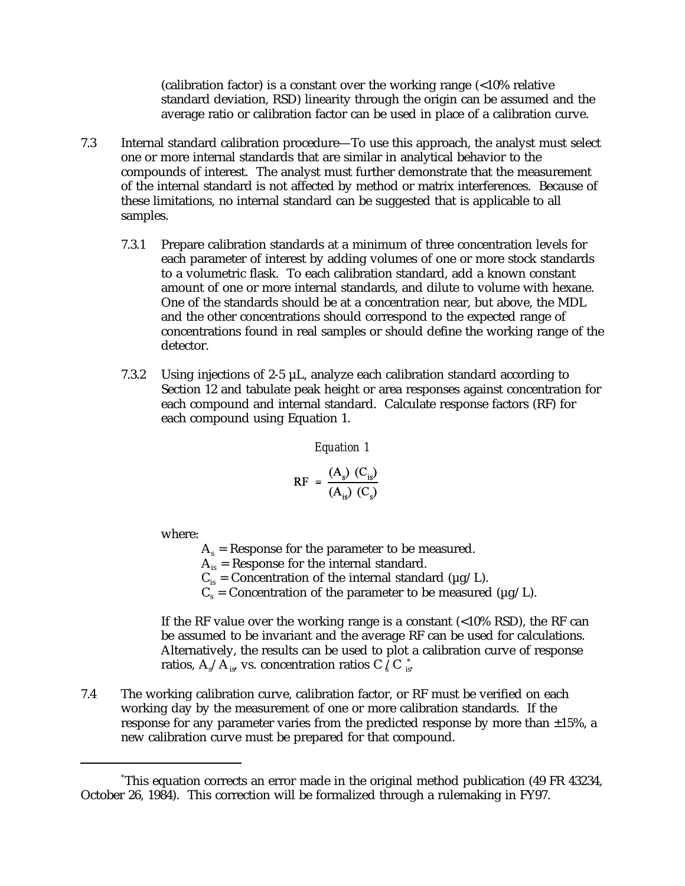(calibration factor) is a constant over the working range (<10% relative standard deviation, RSD) linearity through the origin can be assumed and the average ratio or calibration factor can be used in place of a calibration curve.

- 7.3 Internal standard calibration procedure—To use this approach, the analyst must select one or more internal standards that are similar in analytical behavior to the compounds of interest. The analyst must further demonstrate that the measurement of the internal standard is not affected by method or matrix interferences. Because of these limitations, no internal standard can be suggested that is applicable to all samples.
	- 7.3.1 Prepare calibration standards at a minimum of three concentration levels for each parameter of interest by adding volumes of one or more stock standards to a volumetric flask. To each calibration standard, add a known constant amount of one or more internal standards, and dilute to volume with hexane. One of the standards should be at a concentration near, but above, the MDL and the other concentrations should correspond to the expected range of concentrations found in real samples or should define the working range of the detector.
	- 7.3.2 Using injections of 2-5  $\mu$ L, analyze each calibration standard according to Section 12 and tabulate peak height or area responses against concentration for each compound and internal standard. Calculate response factors (RF) for each compound using Equation 1.

*Equation 1*

$$
RF = \frac{(A_s) (C_{is})}{(A_{is}) (C_s)}
$$

where:

 $A_s$  = Response for the parameter to be measured.

 $A_{is}$  = Response for the internal standard.

 $C_{is}$  = Concentration of the internal standard ( $\mu$ g/L).

 $C_s$  = Concentration of the parameter to be measured ( $\mu$ g/L).

If the RF value over the working range is a constant (<10% RSD), the RF can be assumed to be invariant and the average RF can be used for calculations. Alternatively, the results can be used to plot a calibration curve of response ratios,  $\rm A\rm _s/A\rm _{is}$  vs. concentration ratios C  $\rm _s/C$   $\rm _{is}^*$ 

7.4 The working calibration curve, calibration factor, or RF must be verified on each working day by the measurement of one or more calibration standards. If the response for any parameter varies from the predicted response by more than  $\pm 15\%$ , a new calibration curve must be prepared for that compound.

This equation corrects an error made in the original method publication (49 FR 43234, \* October 26, 1984). This correction will be formalized through a rulemaking in FY97.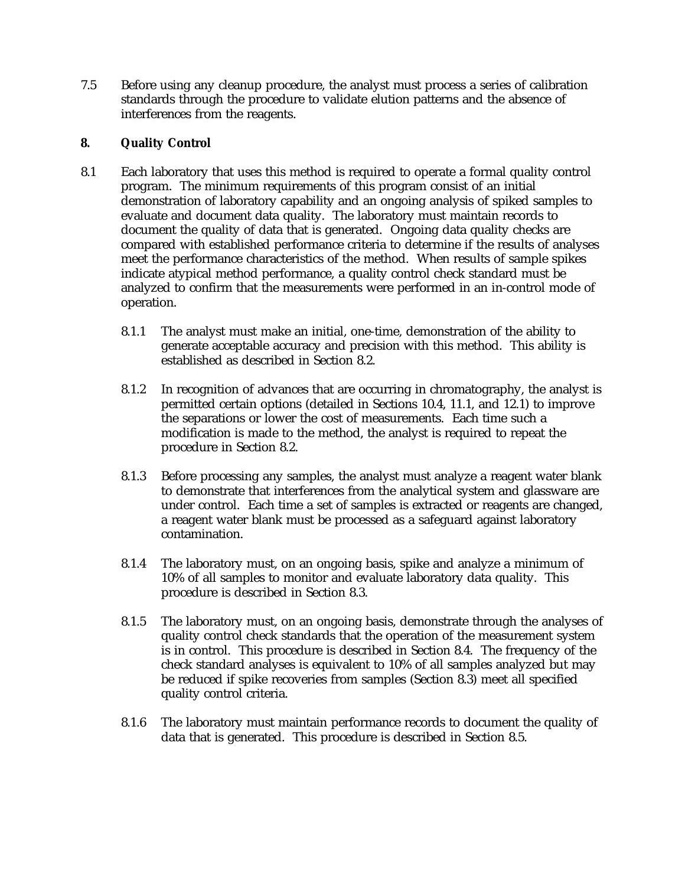7.5 Before using any cleanup procedure, the analyst must process a series of calibration standards through the procedure to validate elution patterns and the absence of interferences from the reagents.

## **8. Quality Control**

- 8.1 Each laboratory that uses this method is required to operate a formal quality control program. The minimum requirements of this program consist of an initial demonstration of laboratory capability and an ongoing analysis of spiked samples to evaluate and document data quality. The laboratory must maintain records to document the quality of data that is generated. Ongoing data quality checks are compared with established performance criteria to determine if the results of analyses meet the performance characteristics of the method. When results of sample spikes indicate atypical method performance, a quality control check standard must be analyzed to confirm that the measurements were performed in an in-control mode of operation.
	- 8.1.1 The analyst must make an initial, one-time, demonstration of the ability to generate acceptable accuracy and precision with this method. This ability is established as described in Section 8.2.
	- 8.1.2 In recognition of advances that are occurring in chromatography, the analyst is permitted certain options (detailed in Sections 10.4, 11.1, and 12.1) to improve the separations or lower the cost of measurements. Each time such a modification is made to the method, the analyst is required to repeat the procedure in Section 8.2.
	- 8.1.3 Before processing any samples, the analyst must analyze a reagent water blank to demonstrate that interferences from the analytical system and glassware are under control. Each time a set of samples is extracted or reagents are changed, a reagent water blank must be processed as a safeguard against laboratory contamination.
	- 8.1.4 The laboratory must, on an ongoing basis, spike and analyze a minimum of 10% of all samples to monitor and evaluate laboratory data quality. This procedure is described in Section 8.3.
	- 8.1.5 The laboratory must, on an ongoing basis, demonstrate through the analyses of quality control check standards that the operation of the measurement system is in control. This procedure is described in Section 8.4. The frequency of the check standard analyses is equivalent to 10% of all samples analyzed but may be reduced if spike recoveries from samples (Section 8.3) meet all specified quality control criteria.
	- 8.1.6 The laboratory must maintain performance records to document the quality of data that is generated. This procedure is described in Section 8.5.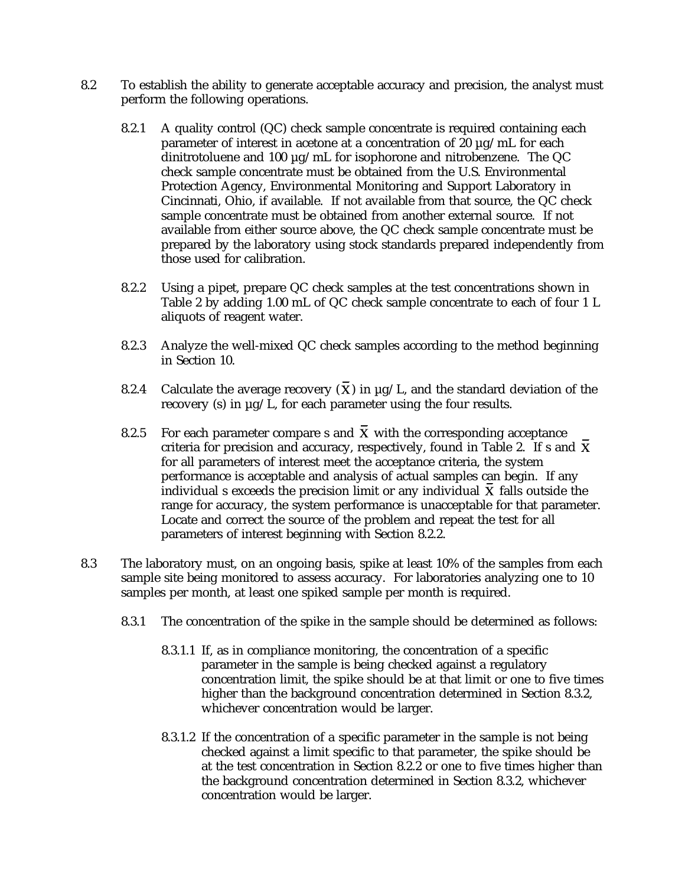- 8.2 To establish the ability to generate acceptable accuracy and precision, the analyst must perform the following operations.
	- 8.2.1 A quality control (QC) check sample concentrate is required containing each parameter of interest in acetone at a concentration of 20  $\mu$ g/mL for each dinitrotoluene and 100 µg/mL for isophorone and nitrobenzene. The QC check sample concentrate must be obtained from the U.S. Environmental Protection Agency, Environmental Monitoring and Support Laboratory in Cincinnati, Ohio, if available. If not available from that source, the QC check sample concentrate must be obtained from another external source. If not available from either source above, the QC check sample concentrate must be prepared by the laboratory using stock standards prepared independently from those used for calibration.
	- 8.2.2 Using a pipet, prepare QC check samples at the test concentrations shown in Table 2 by adding 1.00 mL of QC check sample concentrate to each of four 1 L aliquots of reagent water.
	- 8.2.3 Analyze the well-mixed QC check samples according to the method beginning in Section 10.
	- 8.2.4 Calculate the average recovery  $(\mathbf{\bar{X}})$  in  $\mu$ g/L, and the standard deviation of the recovery (s) in µg/L, for each parameter using the four results.
	- 8.2.5 For each parameter compare s and  $\overline{X}$  with the corresponding acceptance criteria for precision and accuracy, respectively, found in Table 2. If s and X for all parameters of interest meet the acceptance criteria, the system performance is acceptable and analysis of actual samples can begin. If any individual s exceeds the precision limit or any individual  $X$  falls outside the range for accuracy, the system performance is unacceptable for that parameter. Locate and correct the source of the problem and repeat the test for all parameters of interest beginning with Section 8.2.2.
- 8.3 The laboratory must, on an ongoing basis, spike at least 10% of the samples from each sample site being monitored to assess accuracy. For laboratories analyzing one to 10 samples per month, at least one spiked sample per month is required.
	- 8.3.1 The concentration of the spike in the sample should be determined as follows:
		- 8.3.1.1 If, as in compliance monitoring, the concentration of a specific parameter in the sample is being checked against a regulatory concentration limit, the spike should be at that limit or one to five times higher than the background concentration determined in Section 8.3.2, whichever concentration would be larger.
		- 8.3.1.2 If the concentration of a specific parameter in the sample is not being checked against a limit specific to that parameter, the spike should be at the test concentration in Section 8.2.2 or one to five times higher than the background concentration determined in Section 8.3.2, whichever concentration would be larger.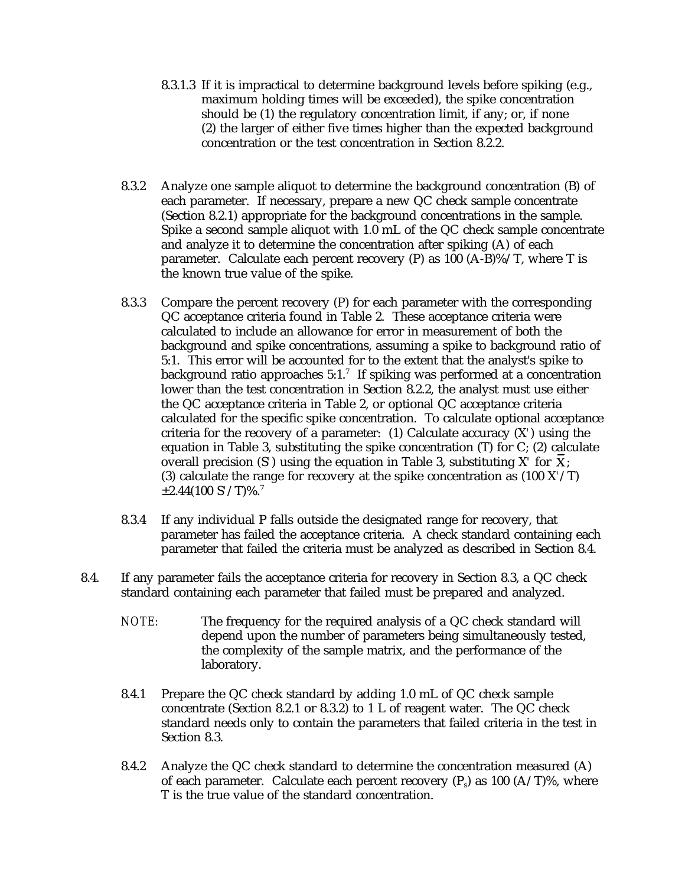- 8.3.1.3 If it is impractical to determine background levels before spiking (e.g., maximum holding times will be exceeded), the spike concentration should be (1) the regulatory concentration limit, if any; or, if none (2) the larger of either five times higher than the expected background concentration or the test concentration in Section 8.2.2.
- 8.3.2 Analyze one sample aliquot to determine the background concentration (B) of each parameter. If necessary, prepare a new QC check sample concentrate (Section 8.2.1) appropriate for the background concentrations in the sample. Spike a second sample aliquot with 1.0 mL of the QC check sample concentrate and analyze it to determine the concentration after spiking (A) of each parameter. Calculate each percent recovery (P) as 100 (A-B)%/T, where T is the known true value of the spike.
- 8.3.3 Compare the percent recovery (P) for each parameter with the corresponding QC acceptance criteria found in Table 2. These acceptance criteria were calculated to include an allowance for error in measurement of both the background and spike concentrations, assuming a spike to background ratio of 5:1. This error will be accounted for to the extent that the analyst's spike to background ratio approaches  $5:1$ .<sup>7</sup> If spiking was performed at a concentration lower than the test concentration in Section 8.2.2, the analyst must use either the QC acceptance criteria in Table 2, or optional QC acceptance criteria calculated for the specific spike concentration. To calculate optional acceptance criteria for the recovery of a parameter: (1) Calculate accuracy (X*'*) using the equation in Table 3, substituting the spike concentration (T) for C; (2) calculate overall precision (S<sup>'</sup>) using the equation in Table 3, substituting  $X'$  for  $\overline{X}$ ; (3) calculate the range for recovery at the spike concentration as (100 X*'*/T) ±2.44(100 S*'*/T)%.<sup>7</sup>
- 8.3.4 If any individual P falls outside the designated range for recovery, that parameter has failed the acceptance criteria. A check standard containing each parameter that failed the criteria must be analyzed as described in Section 8.4.
- 8.4. If any parameter fails the acceptance criteria for recovery in Section 8.3, a QC check standard containing each parameter that failed must be prepared and analyzed.
	- *NOTE:* The frequency for the required analysis of a QC check standard will depend upon the number of parameters being simultaneously tested, the complexity of the sample matrix, and the performance of the laboratory.
	- 8.4.1 Prepare the QC check standard by adding 1.0 mL of QC check sample concentrate (Section 8.2.1 or 8.3.2) to 1 L of reagent water. The QC check standard needs only to contain the parameters that failed criteria in the test in Section 8.3.
	- 8.4.2 Analyze the QC check standard to determine the concentration measured (A) of each parameter. Calculate each percent recovery  $(P_5)$  as 100 (A/T)%, where T is the true value of the standard concentration.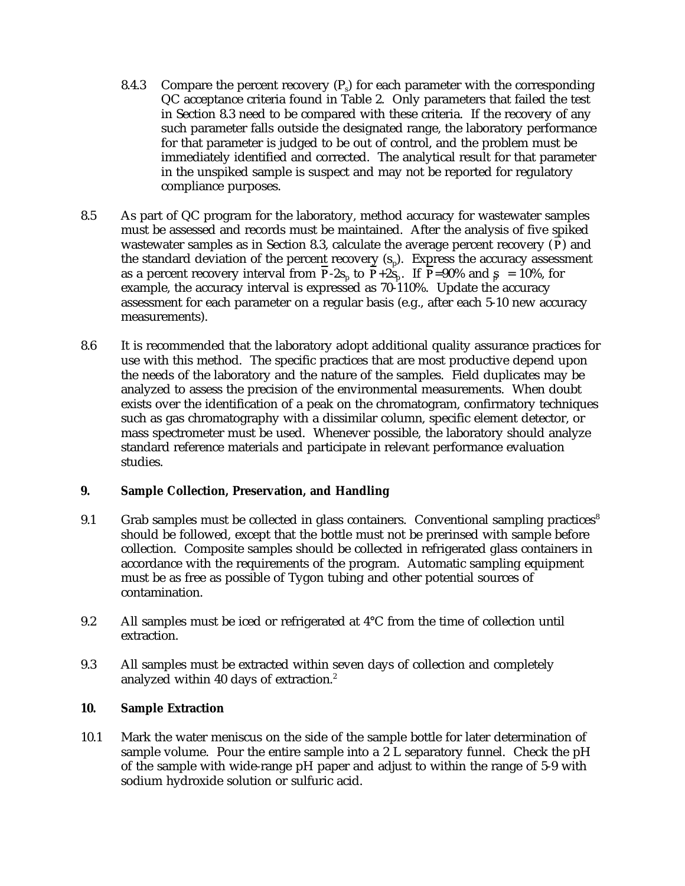- 8.4.3 Compare the percent recovery  $(P<sub>s</sub>)$  for each parameter with the corresponding QC acceptance criteria found in Table 2. Only parameters that failed the test in Section 8.3 need to be compared with these criteria. If the recovery of any such parameter falls outside the designated range, the laboratory performance for that parameter is judged to be out of control, and the problem must be immediately identified and corrected. The analytical result for that parameter in the unspiked sample is suspect and may not be reported for regulatory compliance purposes.
- 8.5 As part of QC program for the laboratory, method accuracy for wastewater samples must be assessed and records must be maintained. After the analysis of five spiked wastewater samples as in Section 8.3, calculate the average percent recovery  $(P)$  and the standard deviation of the percent recovery  $(s_n)$ . Express the accuracy assessment as a percent recovery interval from  $\overline{P}$ -2s<sub>n</sub> to  $\overline{P}$ +2s<sub>n</sub>. If  $\overline{P}$ =90% and  $\overline{S}$  = 10%, for example, the accuracy interval is expressed as 70-110%. Update the accuracy assessment for each parameter on a regular basis (e.g., after each 5-10 new accuracy measurements).
- 8.6 It is recommended that the laboratory adopt additional quality assurance practices for use with this method. The specific practices that are most productive depend upon the needs of the laboratory and the nature of the samples. Field duplicates may be analyzed to assess the precision of the environmental measurements. When doubt exists over the identification of a peak on the chromatogram, confirmatory techniques such as gas chromatography with a dissimilar column, specific element detector, or mass spectrometer must be used. Whenever possible, the laboratory should analyze standard reference materials and participate in relevant performance evaluation studies.

### **9. Sample Collection, Preservation, and Handling**

- 9.1 Grab samples must be collected in glass containers. Conventional sampling practices<sup>8</sup> should be followed, except that the bottle must not be prerinsed with sample before collection. Composite samples should be collected in refrigerated glass containers in accordance with the requirements of the program. Automatic sampling equipment must be as free as possible of Tygon tubing and other potential sources of contamination.
- 9.2 All samples must be iced or refrigerated at 4°C from the time of collection until extraction.
- 9.3 All samples must be extracted within seven days of collection and completely analyzed within 40 days of extraction.<sup>2</sup>

### **10. Sample Extraction**

10.1 Mark the water meniscus on the side of the sample bottle for later determination of sample volume. Pour the entire sample into a 2 L separatory funnel. Check the pH of the sample with wide-range pH paper and adjust to within the range of 5-9 with sodium hydroxide solution or sulfuric acid.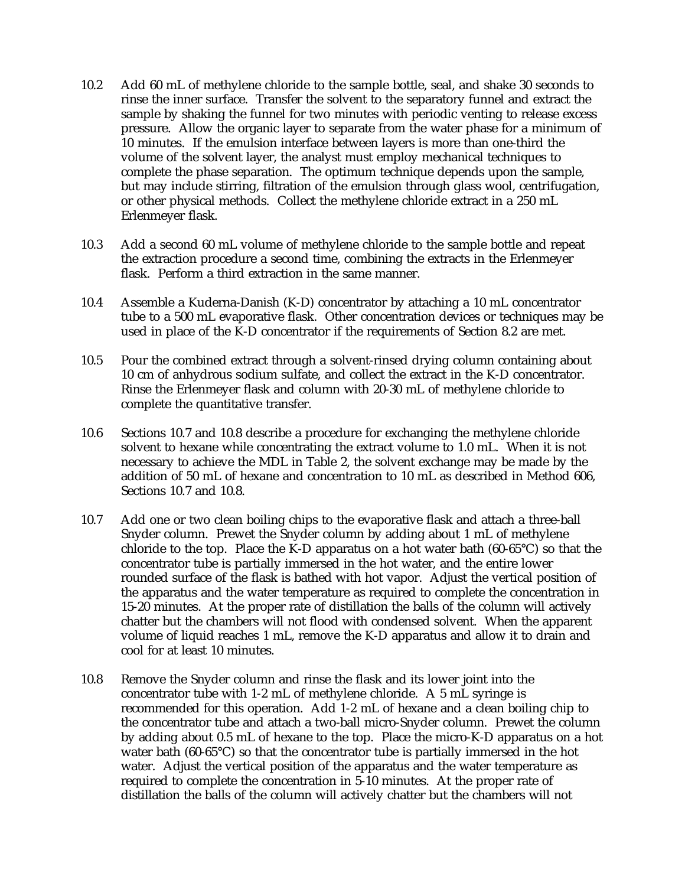- 10.2 Add 60 mL of methylene chloride to the sample bottle, seal, and shake 30 seconds to rinse the inner surface. Transfer the solvent to the separatory funnel and extract the sample by shaking the funnel for two minutes with periodic venting to release excess pressure. Allow the organic layer to separate from the water phase for a minimum of 10 minutes. If the emulsion interface between layers is more than one-third the volume of the solvent layer, the analyst must employ mechanical techniques to complete the phase separation. The optimum technique depends upon the sample, but may include stirring, filtration of the emulsion through glass wool, centrifugation, or other physical methods. Collect the methylene chloride extract in a 250 mL Erlenmeyer flask.
- 10.3 Add a second 60 mL volume of methylene chloride to the sample bottle and repeat the extraction procedure a second time, combining the extracts in the Erlenmeyer flask. Perform a third extraction in the same manner.
- 10.4 Assemble a Kuderna-Danish (K-D) concentrator by attaching a 10 mL concentrator tube to a 500 mL evaporative flask. Other concentration devices or techniques may be used in place of the K-D concentrator if the requirements of Section 8.2 are met.
- 10.5 Pour the combined extract through a solvent-rinsed drying column containing about 10 cm of anhydrous sodium sulfate, and collect the extract in the K-D concentrator. Rinse the Erlenmeyer flask and column with 20-30 mL of methylene chloride to complete the quantitative transfer.
- 10.6 Sections 10.7 and 10.8 describe a procedure for exchanging the methylene chloride solvent to hexane while concentrating the extract volume to 1.0 mL. When it is not necessary to achieve the MDL in Table 2, the solvent exchange may be made by the addition of 50 mL of hexane and concentration to 10 mL as described in Method 606, Sections 10.7 and 10.8.
- 10.7 Add one or two clean boiling chips to the evaporative flask and attach a three-ball Snyder column. Prewet the Snyder column by adding about 1 mL of methylene chloride to the top. Place the K-D apparatus on a hot water bath  $(60-65^{\circ}C)$  so that the concentrator tube is partially immersed in the hot water, and the entire lower rounded surface of the flask is bathed with hot vapor. Adjust the vertical position of the apparatus and the water temperature as required to complete the concentration in 15-20 minutes. At the proper rate of distillation the balls of the column will actively chatter but the chambers will not flood with condensed solvent. When the apparent volume of liquid reaches 1 mL, remove the K-D apparatus and allow it to drain and cool for at least 10 minutes.
- 10.8 Remove the Snyder column and rinse the flask and its lower joint into the concentrator tube with 1-2 mL of methylene chloride. A 5 mL syringe is recommended for this operation. Add 1-2 mL of hexane and a clean boiling chip to the concentrator tube and attach a two-ball micro-Snyder column. Prewet the column by adding about 0.5 mL of hexane to the top. Place the micro-K-D apparatus on a hot water bath (60-65°C) so that the concentrator tube is partially immersed in the hot water. Adjust the vertical position of the apparatus and the water temperature as required to complete the concentration in 5-10 minutes. At the proper rate of distillation the balls of the column will actively chatter but the chambers will not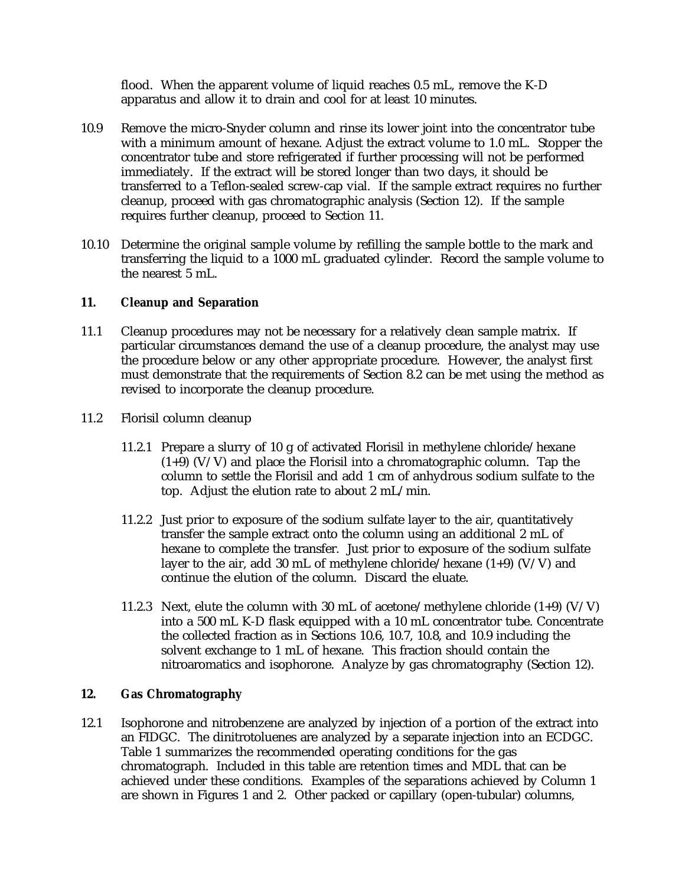flood. When the apparent volume of liquid reaches 0.5 mL, remove the K-D apparatus and allow it to drain and cool for at least 10 minutes.

- 10.9 Remove the micro-Snyder column and rinse its lower joint into the concentrator tube with a minimum amount of hexane. Adjust the extract volume to 1.0 mL. Stopper the concentrator tube and store refrigerated if further processing will not be performed immediately. If the extract will be stored longer than two days, it should be transferred to a Teflon-sealed screw-cap vial. If the sample extract requires no further cleanup, proceed with gas chromatographic analysis (Section 12). If the sample requires further cleanup, proceed to Section 11.
- 10.10 Determine the original sample volume by refilling the sample bottle to the mark and transferring the liquid to a 1000 mL graduated cylinder. Record the sample volume to the nearest 5 mL.

## **11. Cleanup and Separation**

- 11.1 Cleanup procedures may not be necessary for a relatively clean sample matrix. If particular circumstances demand the use of a cleanup procedure, the analyst may use the procedure below or any other appropriate procedure. However, the analyst first must demonstrate that the requirements of Section 8.2 can be met using the method as revised to incorporate the cleanup procedure.
- 11.2 Florisil column cleanup
	- 11.2.1 Prepare a slurry of 10 g of activated Florisil in methylene chloride/hexane  $(1+9)$  (V/V) and place the Florisil into a chromatographic column. Tap the column to settle the Florisil and add 1 cm of anhydrous sodium sulfate to the top. Adjust the elution rate to about 2 mL/min.
	- 11.2.2 Just prior to exposure of the sodium sulfate layer to the air, quantitatively transfer the sample extract onto the column using an additional 2 mL of hexane to complete the transfer. Just prior to exposure of the sodium sulfate layer to the air, add 30 mL of methylene chloride/hexane  $(1+9)$  (V/V) and continue the elution of the column. Discard the eluate.
	- 11.2.3 Next, elute the column with 30 mL of acetone/methylene chloride  $(1+9)$  (V/V) into a 500 mL K-D flask equipped with a 10 mL concentrator tube. Concentrate the collected fraction as in Sections 10.6, 10.7, 10.8, and 10.9 including the solvent exchange to 1 mL of hexane. This fraction should contain the nitroaromatics and isophorone. Analyze by gas chromatography (Section 12).

## **12. Gas Chromatography**

12.1 Isophorone and nitrobenzene are analyzed by injection of a portion of the extract into an FIDGC. The dinitrotoluenes are analyzed by a separate injection into an ECDGC. Table 1 summarizes the recommended operating conditions for the gas chromatograph. Included in this table are retention times and MDL that can be achieved under these conditions. Examples of the separations achieved by Column 1 are shown in Figures 1 and 2. Other packed or capillary (open-tubular) columns,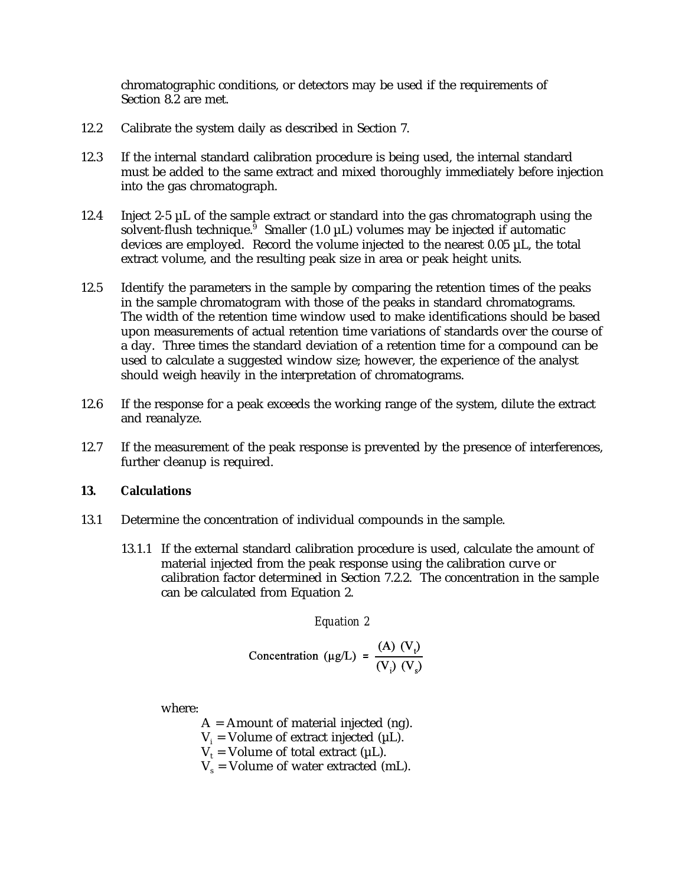chromatographic conditions, or detectors may be used if the requirements of Section 8.2 are met.

- 12.2 Calibrate the system daily as described in Section 7.
- 12.3 If the internal standard calibration procedure is being used, the internal standard must be added to the same extract and mixed thoroughly immediately before injection into the gas chromatograph.
- 12.4 Inject 2-5 µL of the sample extract or standard into the gas chromatograph using the solvent-flush technique.<sup> $\overline{9}$ </sup> Smaller (1.0  $\mu$ L) volumes may be injected if automatic devices are employed. Record the volume injected to the nearest 0.05 µL, the total extract volume, and the resulting peak size in area or peak height units.
- 12.5 Identify the parameters in the sample by comparing the retention times of the peaks in the sample chromatogram with those of the peaks in standard chromatograms. The width of the retention time window used to make identifications should be based upon measurements of actual retention time variations of standards over the course of a day. Three times the standard deviation of a retention time for a compound can be used to calculate a suggested window size; however, the experience of the analyst should weigh heavily in the interpretation of chromatograms.
- 12.6 If the response for a peak exceeds the working range of the system, dilute the extract and reanalyze.
- 12.7 If the measurement of the peak response is prevented by the presence of interferences, further cleanup is required.

# **13. Calculations**

- 13.1 Determine the concentration of individual compounds in the sample.
	- 13.1.1 If the external standard calibration procedure is used, calculate the amount of material injected from the peak response using the calibration curve or calibration factor determined in Section 7.2.2. The concentration in the sample can be calculated from Equation 2.

*Equation 2*

$$
Concentration (µg/L) = \frac{(A) (Vi)}{(Vi) (Vs)}
$$

where:

 $A =$  Amount of material injected (ng).

- $V_i$  = Volume of extract injected ( $\mu$ L).
- $V_t$  = Volume of total extract ( $\mu$ L).
- $V_s$  = Volume of water extracted (mL).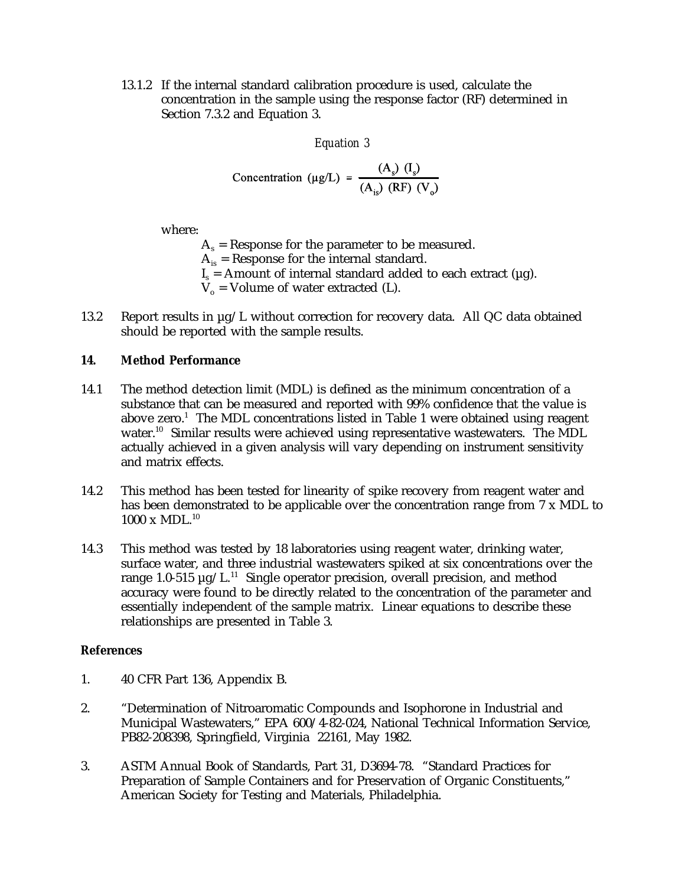13.1.2 If the internal standard calibration procedure is used, calculate the concentration in the sample using the response factor (RF) determined in Section 7.3.2 and Equation 3.

*Equation 3*

$$
Concentration (\mu g/L) = \frac{(A_s) (I_s)}{(A_{is}) (RF) (V_o)}
$$

where:

 $A_s$  = Response for the parameter to be measured.  $A_{i}$  = Response for the internal standard.  $I_s$  = Amount of internal standard added to each extract ( $\mu$ g).  $V_0$  = Volume of water extracted (L).

13.2 Report results in  $\mu$ g/L without correction for recovery data. All QC data obtained should be reported with the sample results.

# **14. Method Performance**

- 14.1 The method detection limit (MDL) is defined as the minimum concentration of a substance that can be measured and reported with 99% confidence that the value is above zero.<sup>1</sup> The MDL concentrations listed in Table 1 were obtained using reagent water.<sup>10</sup> Similar results were achieved using representative wastewaters. The MDL actually achieved in a given analysis will vary depending on instrument sensitivity and matrix effects.
- 14.2 This method has been tested for linearity of spike recovery from reagent water and has been demonstrated to be applicable over the concentration range from 7 x MDL to  $1000 \times MDL.<sup>10</sup>$
- 14.3 This method was tested by 18 laboratories using reagent water, drinking water, surface water, and three industrial wastewaters spiked at six concentrations over the range 1.0-515  $\mu$ g/L.<sup>11</sup> Single operator precision, overall precision, and method accuracy were found to be directly related to the concentration of the parameter and essentially independent of the sample matrix. Linear equations to describe these relationships are presented in Table 3.

# **References**

- 1. 40 CFR Part 136, Appendix B.
- 2. "Determination of Nitroaromatic Compounds and Isophorone in Industrial and Municipal Wastewaters," EPA 600/4-82-024, National Technical Information Service, PB82-208398, Springfield, Virginia 22161, May 1982.
- 3. ASTM Annual Book of Standards, Part 31, D3694-78. "Standard Practices for Preparation of Sample Containers and for Preservation of Organic Constituents," American Society for Testing and Materials, Philadelphia.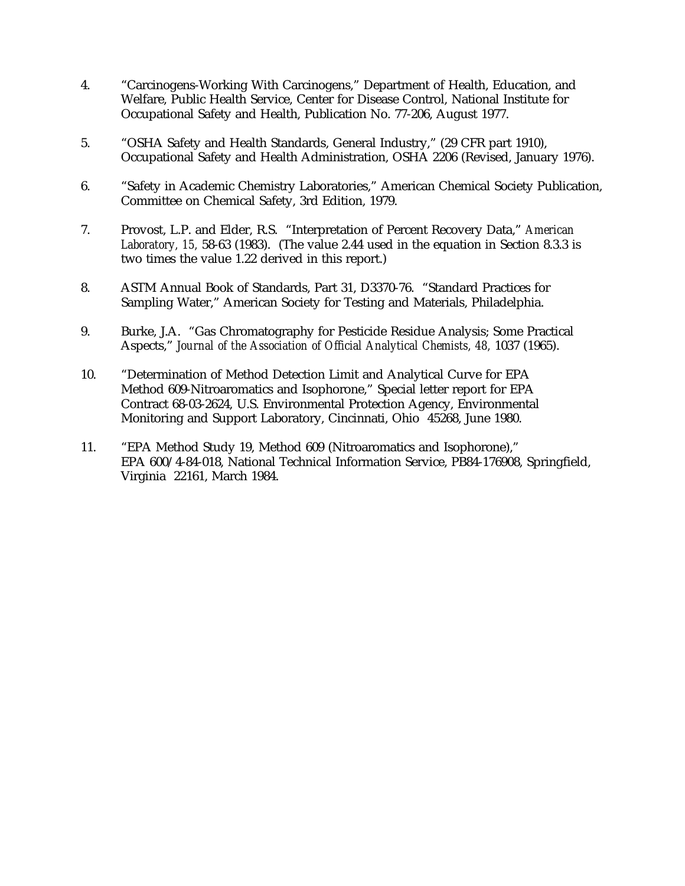- 4. "Carcinogens-Working With Carcinogens," Department of Health, Education, and Welfare, Public Health Service, Center for Disease Control, National Institute for Occupational Safety and Health, Publication No. 77-206, August 1977.
- 5. "OSHA Safety and Health Standards, General Industry," (29 CFR part 1910), Occupational Safety and Health Administration, OSHA 2206 (Revised, January 1976).
- 6. "Safety in Academic Chemistry Laboratories," American Chemical Society Publication, Committee on Chemical Safety, 3rd Edition, 1979.
- 7. Provost, L.P. and Elder, R.S. "Interpretation of Percent Recovery Data," *American Laboratory, 15,* 58-63 (1983). (The value 2.44 used in the equation in Section 8.3.3 is two times the value 1.22 derived in this report.)
- 8. ASTM Annual Book of Standards, Part 31, D3370-76. "Standard Practices for Sampling Water," American Society for Testing and Materials, Philadelphia.
- 9. Burke, J.A. "Gas Chromatography for Pesticide Residue Analysis; Some Practical Aspects," *Journal of the Association of Official Analytical Chemists, 48, 1037 (1965).*
- 10. "Determination of Method Detection Limit and Analytical Curve for EPA Method 609-Nitroaromatics and Isophorone," Special letter report for EPA Contract 68-03-2624, U.S. Environmental Protection Agency, Environmental Monitoring and Support Laboratory, Cincinnati, Ohio 45268, June 1980.
- 11. "EPA Method Study 19, Method 609 (Nitroaromatics and Isophorone)," EPA 600/4-84-018, National Technical Information Service, PB84-176908, Springfield, Virginia 22161, March 1984.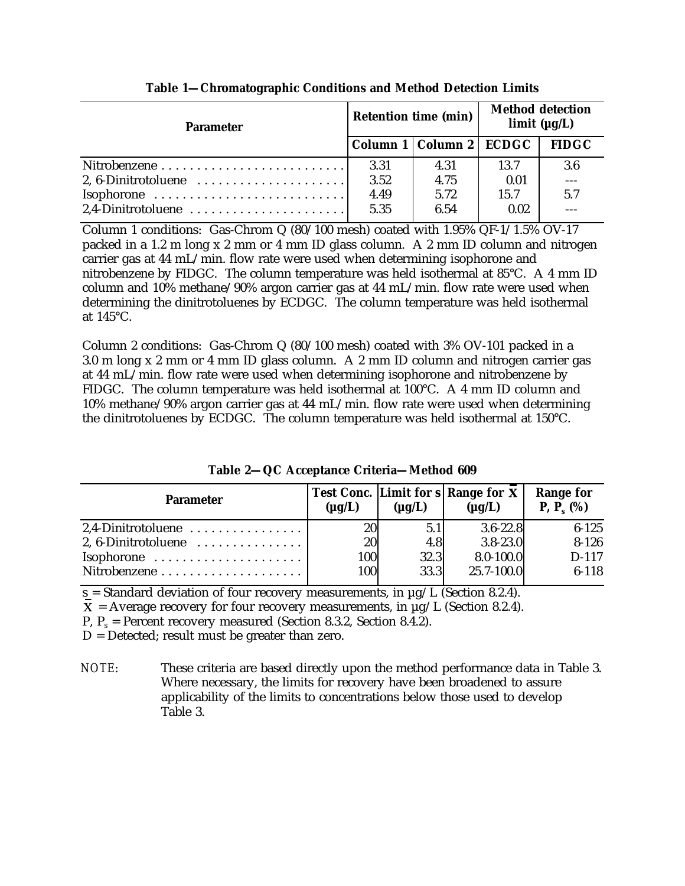| <b>Parameter</b>                                               | <b>Retention time (min)</b> |                             | <b>Method detection</b><br>limit (µg/L) |              |
|----------------------------------------------------------------|-----------------------------|-----------------------------|-----------------------------------------|--------------|
|                                                                |                             | Column 1   Column 2   ECDGC |                                         | <b>FIDGC</b> |
|                                                                | 3.31                        | 4.31                        | 13.7                                    | 3.6          |
| 2, 6-Dinitrotoluene $\dots\dots\dots\dots\dots\dots\dots\dots$ | 3.52                        | 4.75                        | 0.01                                    |              |
|                                                                | 4.49                        | 5.72                        | 15.7                                    | 5.7          |
| $2,4$ -Dinitrotoluene                                          | 5.35                        | 6.54                        | 0.02                                    |              |

**Table 1—Chromatographic Conditions and Method Detection Limits**

Column 1 conditions: Gas-Chrom Q (80/100 mesh) coated with 1.95% QF-1/1.5% OV-17 packed in a 1.2 m long x 2 mm or 4 mm ID glass column. A 2 mm ID column and nitrogen carrier gas at 44 mL/min. flow rate were used when determining isophorone and nitrobenzene by FIDGC. The column temperature was held isothermal at 85°C. A 4 mm ID column and 10% methane/90% argon carrier gas at 44 mL/min. flow rate were used when determining the dinitrotoluenes by ECDGC. The column temperature was held isothermal at 145°C.

Column 2 conditions: Gas-Chrom Q (80/100 mesh) coated with 3% OV-101 packed in a 3.0 m long x 2 mm or 4 mm ID glass column. A 2 mm ID column and nitrogen carrier gas at 44 mL/min. flow rate were used when determining isophorone and nitrobenzene by FIDGC. The column temperature was held isothermal at 100°C. A 4 mm ID column and 10% methane/90% argon carrier gas at 44 mL/min. flow rate were used when determining the dinitrotoluenes by ECDGC. The column temperature was held isothermal at 150°C.

| <b>Parameter</b>                                | $(\mu g/L)$ | $(\mu g/L)$ | <b>Test Conc.</b> Limit for $s$ Range for $X$<br>$(\mu g/L)$ | <b>Range for</b><br><b>P</b> , $P_6(%)$ |
|-------------------------------------------------|-------------|-------------|--------------------------------------------------------------|-----------------------------------------|
| $2,4$ -Dinitrotoluene                           | <b>20</b>   | 5.1         | $3.6 - 22.8$                                                 | $6 - 125$                               |
| 2, 6-Dinitrotoluene $\dots\dots\dots\dots\dots$ | 20          | 4.8         | $3.8 - 23.0$                                                 | $8 - 126$                               |
| $Isophorone$                                    | 100         | 32.3        | $8.0 - 100.0$                                                | $D-117$                                 |
|                                                 | 100         | 33.3        | 25.7-100.0                                                   | $6-118$                                 |

**Table 2—QC Acceptance Criteria—Method 609**

 $s =$  Standard deviation of four recovery measurements, in  $\mu$ g/L (Section 8.2.4).

 $X =$  Average recovery for four recovery measurements, in  $\mu$ g/L (Section 8.2.4).

P,  $P_s$  = Percent recovery measured (Section 8.3.2, Section 8.4.2).

 $D =$  Detected; result must be greater than zero.

*NOTE*: These criteria are based directly upon the method performance data in Table 3. Where necessary, the limits for recovery have been broadened to assure applicability of the limits to concentrations below those used to develop Table 3.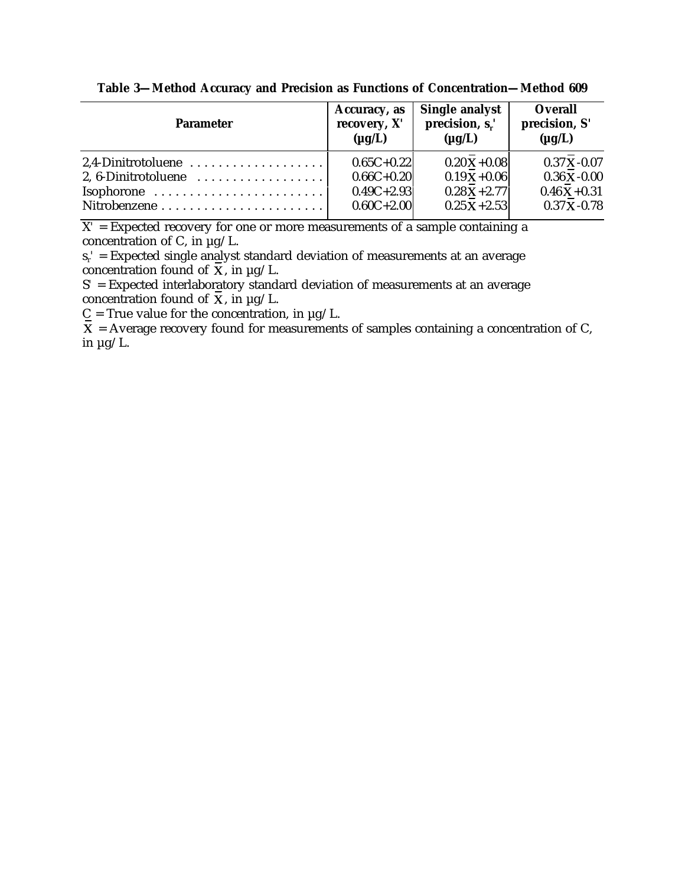| <b>Parameter</b>                                          | Accuracy, as<br>recovery, X'<br>$(\mu g/L)$ | Single analyst<br>precision, $s_r$ '<br>$(\mu g/L)$ | Overall<br>precision, S'<br>$(\mu g/L)$ |
|-----------------------------------------------------------|---------------------------------------------|-----------------------------------------------------|-----------------------------------------|
| 2.4-Dinitrotoluene                                        | $0.65C+0.22$                                | $0.20X + 0.08$                                      | $0.37 X - 0.07$                         |
| 2, 6-Dinitrotoluene $\dots\dots\dots\dots\dots\dots\dots$ | $0.66C + 0.20$                              | $0.19X + 0.06$                                      | $0.36 X - 0.00$                         |
| $Isophorone$                                              | $0.49C + 2.93$                              | $0.28X + 2.77$                                      | $0.46X + 0.31$                          |
|                                                           | $0.60C + 2.00$                              | $0.25X + 2.53$                                      | $0.37 X - 0.78$                         |

**Table 3—Method Accuracy and Precision as Functions of Concentration—Method 609**

 $X'$  = Expected recovery for one or more measurements of a sample containing a concentration of C, in  $\mu$ g/L.

sr*'* = Expected single analyst standard deviation of measurements at an average concentration found of  $\overline{X}$ , in  $\mu$ g/L.

S' = Expected interlaboratory standard deviation of measurements at an average concentration found of  $\overline{X}$ , in  $\mu$ g/L.

 $C = True$  value for the concentration, in  $\mu$ g/L.

 $\overline{X}$  = Average recovery found for measurements of samples containing a concentration of C, in  $\mu$ g/L.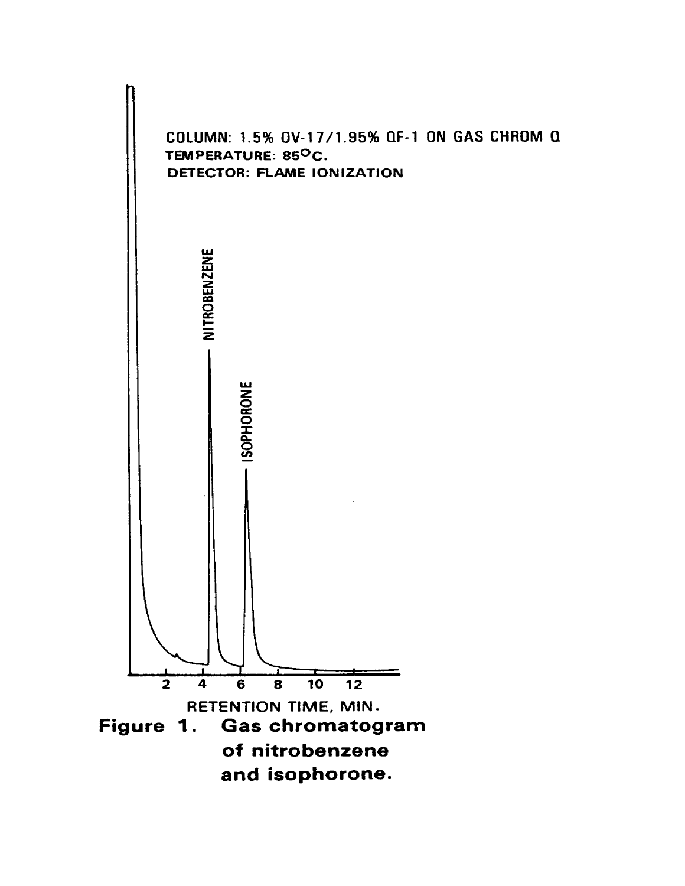